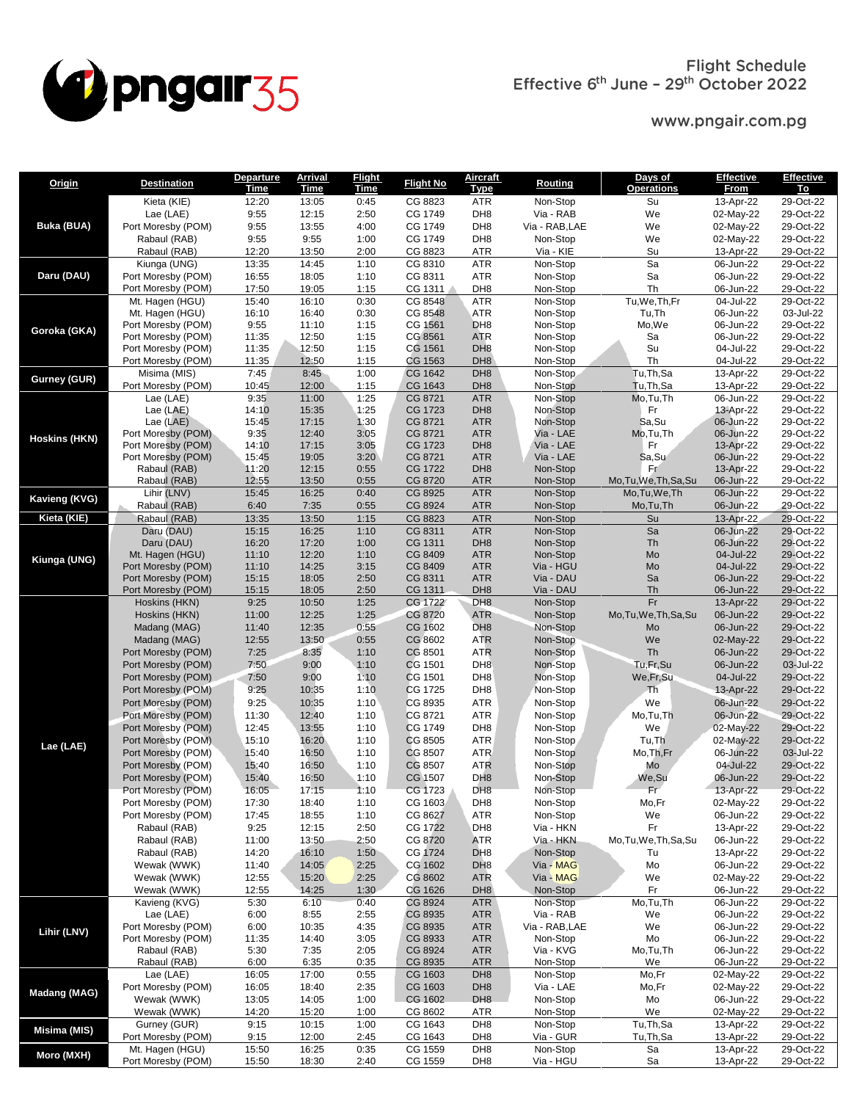

www.pngair.com.pg

| Origin               | <b>Destination</b>                       | <b>Departure</b>     | <b>Arrival</b>       | <b>Flight</b>       | <b>Flight No</b>   | <u>Aircraft</u>                    | <b>Routing</b>         | Days of                      | <b>Effective</b>       | Effective              |
|----------------------|------------------------------------------|----------------------|----------------------|---------------------|--------------------|------------------------------------|------------------------|------------------------------|------------------------|------------------------|
|                      | Kieta (KIE)                              | <u>Time</u><br>12:20 | <u>Time</u><br>13:05 | <b>Time</b><br>0:45 | CG 8823            | Type<br><b>ATR</b>                 | Non-Stop               | <b>Operations</b><br>Su      | From<br>13-Apr-22      | Τo<br>29-Oct-22        |
|                      | Lae (LAE)                                | 9:55                 | 12:15                | 2:50                | CG 1749            | DH <sub>8</sub>                    | Via - RAB              | We                           | 02-May-22              | 29-Oct-22              |
| <b>Buka (BUA)</b>    | Port Moresby (POM)                       | 9:55                 | 13:55                | 4:00                | CG 1749            | DH <sub>8</sub>                    | Via - RAB, LAE         | We                           | 02-May-22              | 29-Oct-22              |
|                      | Rabaul (RAB)                             | 9:55                 | 9:55                 | 1:00                | CG 1749            | DH <sub>8</sub>                    | Non-Stop               | We                           | 02-May-22              | 29-Oct-22              |
|                      | Rabaul (RAB)                             | 12:20                | 13:50                | 2:00                | CG 8823            | <b>ATR</b>                         | Via - KIE              | Su                           | 13-Apr-22              | 29-Oct-22              |
|                      | Kiunga (UNG)                             | 13:35                | 14:45                | 1:10                | CG 8310            | <b>ATR</b>                         | Non-Stop               | Sa                           | 06-Jun-22              | 29-Oct-22              |
| Daru (DAU)           | Port Moresby (POM)                       | 16:55                | 18:05                | 1:10                | CG 8311            | <b>ATR</b>                         | Non-Stop               | Sa                           | 06-Jun-22              | 29-Oct-22              |
|                      | Port Moresby (POM)                       | 17:50                | 19:05                | 1:15                | CG 1311            | DH <sub>8</sub>                    | Non-Stop               | Th                           | 06-Jun-22              | 29-Oct-22              |
|                      | Mt. Hagen (HGU)                          | 15:40                | 16:10                | 0:30                | CG 8548            | <b>ATR</b>                         | Non-Stop               | Tu, We, Th, Fr               | 04-Jul-22              | 29-Oct-22              |
|                      | Mt. Hagen (HGU)                          | 16:10                | 16:40                | 0:30                | CG 8548            | ATR                                | Non-Stop               | Tu, Th                       | 06-Jun-22              | 03-Jul-22              |
| Goroka (GKA)         | Port Moresby (POM)<br>Port Moresby (POM) | 9:55<br>11:35        | 11:10<br>12:50       | 1:15<br>1:15        | CG 1561<br>CG 8561 | DH <sub>8</sub><br><b>ATR</b>      | Non-Stop<br>Non-Stop   | Mo,We<br>Sa                  | 06-Jun-22<br>06-Jun-22 | 29-Oct-22<br>29-Oct-22 |
|                      | Port Moresby (POM)                       | 11:35                | 12:50                | 1:15                | CG 1561            | DH <sub>8</sub>                    | Non-Stop               | Su                           | 04-Jul-22              | 29-Oct-22              |
|                      | Port Moresby (POM)                       | 11:35                | 12:50                | 1:15                | CG 1563            | DH <sub>8</sub>                    | Non-Stop               | Th                           | 04-Jul-22              | 29-Oct-22              |
|                      | Misima (MIS)                             | 7:45                 | 8:45                 | 1:00                | CG 1642            | DH <sub>8</sub>                    | Non-Stop               | Tu, Th, Sa                   | 13-Apr-22              | 29-Oct-22              |
| Gurney (GUR)         | Port Moresby (POM)                       | 10:45                | 12:00                | 1:15                | CG 1643            | DH <sub>8</sub>                    | Non-Stop               | Tu, Th, Sa                   | 13-Apr-22              | 29-Oct-22              |
|                      | Lae (LAE)                                | 9:35                 | 11:00                | 1:25                | CG 8721            | <b>ATR</b>                         | Non-Stop               | Mo, Tu, Th                   | 06-Jun-22              | 29-Oct-22              |
|                      | Lae (LAE)                                | 14:10                | 15:35                | 1:25                | CG 1723            | DH <sub>8</sub>                    | Non-Stop               | Fr                           | 13-Apr-22              | 29-Oct-22              |
|                      | Lae $(LAE)$                              | 15:45                | 17:15                | 1:30                | CG 8721            | <b>ATR</b>                         | Non-Stop               | Sa, Su                       | 06-Jun-22              | 29-Oct-22              |
| <b>Hoskins (HKN)</b> | Port Moresby (POM)<br>Port Moresby (POM) | 9:35<br>14:10        | 12:40<br>17:15       | 3:05<br>3:05        | CG 8721<br>CG 1723 | <b>ATR</b><br>DH <sub>8</sub>      | Via - LAE<br>Via - LAE | Mo,Tu,Th<br>Fr               | 06-Jun-22<br>13-Apr-22 | 29-Oct-22<br>29-Oct-22 |
|                      | Port Moresby (POM)                       | 15:45                | 19:05                | 3:20                | CG 8721            | <b>ATR</b>                         | Via - LAE              | Sa, Su                       | 06-Jun-22              | 29-Oct-22              |
|                      | Rabaul (RAB)                             | 11:20                | 12:15                | 0:55                | CG 1722            | DH <sub>8</sub>                    | Non-Stop               | Fr.                          | 13-Apr-22              | 29-Oct-22              |
|                      | Rabaul (RAB)                             | 12:55                | 13:50                | 0:55                | CG 8720            | <b>ATR</b>                         | Non-Stop               | Mo, Tu, We, Th, Sa, Su       | 06-Jun-22              | 29-Oct-22              |
| <b>Kavieng (KVG)</b> | Lihir (LNV)                              | 15:45                | 16:25                | 0:40                | CG 8925            | <b>ATR</b>                         | Non-Stop               | Mo, Tu, We, Th               | 06-Jun-22              | 29-Oct-22              |
|                      | Rabaul (RAB)                             | 6:40                 | 7:35                 | 0:55                | CG 8924            | <b>ATR</b>                         | Non-Stop               | Mo,Tu,Th                     | 06-Jun-22              | 29-Oct-22              |
| Kieta (KIE)          | Rabaul (RAB)                             | 13:35                | 13:50                | 1:15                | CG 8823            | <b>ATR</b>                         | Non-Stop               | Su                           | 13-Apr-22              | 29-Oct-22              |
|                      | Daru (DAU)                               | 15:15                | 16:25                | 1:10                | CG 8311            | <b>ATR</b>                         | Non-Stop               | Sa                           | 06-Jun-22              | 29-Oct-22              |
| Kiunga (UNG)         | Daru (DAU)                               | 16:20                | 17:20                | 1:00                | CG 1311            | DH <sub>8</sub>                    | Non-Stop               | Th                           | 06-Jun-22              | 29-Oct-22<br>29-Oct-22 |
|                      | Mt. Hagen (HGU)<br>Port Moresby (POM)    | 11:10<br>11:10       | 12:20<br>14:25       | 1:10<br>3:15        | CG 8409<br>CG 8409 | <b>ATR</b><br><b>ATR</b>           | Non-Stop<br>Via - HGU  | Mo<br>Mo                     | 04-Jul-22<br>04-Jul-22 | 29-Oct-22              |
|                      | Port Moresby (POM)                       | 15:15                | 18:05                | 2:50                | CG 8311            | <b>ATR</b>                         | Via - DAU              | Sa                           | 06-Jun-22              | 29-Oct-22              |
|                      | Port Moresby (POM)                       | 15:15                | 18:05                | 2:50                | CG 1311            | DH <sub>8</sub>                    | Via - DAU              | Th                           | 06-Jun-22              | 29-Oct-22              |
|                      | Hoskins (HKN)                            | 9:25                 | 10:50                | 1:25                | CG 1722            | DH <sub>8</sub>                    | Non-Stop               | Fr                           | 13-Apr-22              | 29-Oct-22              |
|                      | Hoskins (HKN)                            | 11:00                | 12:25                | 1:25                | CG 8720            | <b>ATR</b>                         | Non-Stop               | Mo, Tu, We, Th, Sa, Su       | 06-Jun-22              | 29-Oct-22              |
|                      | Madang (MAG)                             | 11:40                | 12:35                | 0:55                | CG 1602            | DH <sub>8</sub>                    | Non-Stop               | Mo                           | 06-Jun-22              | 29-Oct-22              |
|                      | Madang (MAG)                             | 12:55                | 13:50                | 0:55                | CG 8602            | <b>ATR</b>                         | Non-Stop               | We                           | 02-May-22              | 29-Oct-22              |
|                      | Port Moresby (POM)                       | 7:25                 | 8:35                 | 1:10                | CG 8501            | <b>ATR</b>                         | Non-Stop               | Th                           | 06-Jun-22              | 29-Oct-22              |
|                      | Port Moresby (POM)                       | 7:50                 | 9:00                 | 1:10                | CG 1501            | DH <sub>8</sub>                    | Non-Stop               | Tu,Fr,Su                     | 06-Jun-22              | 03-Jul-22              |
|                      | Port Moresby (POM)<br>Port Moresby (POM) | 7:50<br>9:25         | 9:00<br>10:35        | 1:10<br>1:10        | CG 1501<br>CG 1725 | DH <sub>8</sub><br>DH <sub>8</sub> | Non-Stop<br>Non-Stop   | We, Fr, Su<br>Th             | 04-Jul-22<br>13-Apr-22 | 29-Oct-22<br>29-Oct-22 |
|                      | Port Moresby (POM)                       | 9:25                 | 10:35                | 1:10                | CG 8935            | <b>ATR</b>                         | Non-Stop               | We                           | 06-Jun-22              | 29-Oct-22              |
|                      | Port Moresby (POM)                       | 11:30                | 12:40                | 1:10                | CG 8721            | <b>ATR</b>                         | Non-Stop               | Mo,Tu,Th                     | 06-Jun-22              | 29-Oct-22              |
|                      | Port Moresby (POM)                       | 12:45                | 13:55                | 1:10                | CG 1749            | DH <sub>8</sub>                    | Non-Stop               | We                           | 02-May-22              | 29-Oct-22              |
|                      | Port Moresby (POM)                       | 15:10                | 16:20                | 1:10                | CG 8505            | <b>ATR</b>                         | Non-Stop               | Tu, Th                       | 02-May-22              | 29-Oct-22              |
| Lae (LAE)            | Port Moresby (POM)                       | 15:40                | 16:50                | 1:10                | CG 8507            | <b>ATR</b>                         | Non-Stop               | Mo, Th, Fr                   | 06-Jun-22              | 03-Jul-22              |
|                      | Port Moresby (POM)                       | 15:40                | 16:50                | 1:10                | CG 8507            | <b>ATR</b>                         | Non-Stop               | Mo                           | 04-Jul-22              | 29-Oct-22              |
|                      | Port Moresby (POM)                       | 15:40                | 16:50                | 1:10                | CG 1507            | DH <sub>8</sub>                    | Non-Stop               | We,Su                        | 06-Jun-22              | 29-Oct-22              |
|                      | Port Moresby (POM)                       | 16:05                | 17:15                | 1:10                | CG 1723            | DH <sub>8</sub>                    | Non-Stop               | Fr                           | 13-Apr-22              | 29-Oct-22              |
|                      | Port Moresby (POM)                       | 17:30                | 18:40                | 1:10                | CG 1603            | DH <sub>8</sub>                    | Non-Stop               | Mo,Fr                        | 02-May-22              | 29-Oct-22              |
|                      | Port Moresby (POM)                       | 17:45                | 18:55                | 1:10                | CG 8627            | <b>ATR</b>                         | Non-Stop               | We                           | 06-Jun-22              | 29-Oct-22              |
|                      | Rabaul (RAB)                             | 9:25                 | 12:15                | 2:50                | CG 1722            | DH <sub>8</sub>                    | Via - HKN              | Fr                           | 13-Apr-22              | 29-Oct-22              |
|                      | Rabaul (RAB)<br>Rabaul (RAB)             | 11:00<br>14:20       | 13:50<br>16:10       | 2:50<br>1:50        | CG 8720<br>CG 1724 | <b>ATR</b><br>DH <sub>8</sub>      | Via - HKN<br>Non-Stop  | Mo, Tu, We, Th, Sa, Su<br>Tu | 06-Jun-22<br>13-Apr-22 | 29-Oct-22<br>29-Oct-22 |
|                      | Wewak (WWK)                              | 11:40                | 14:05                | 2:25                | CG 1602            | DH <sub>8</sub>                    | Via - MAG              | Mo                           | 06-Jun-22              | 29-Oct-22              |
|                      | Wewak (WWK)                              | 12:55                | 15:20                | 2:25                | CG 8602            | <b>ATR</b>                         | Via - MAG              | We                           | 02-May-22              | 29-Oct-22              |
|                      | Wewak (WWK)                              | 12:55                | 14:25                | 1:30                | CG 1626            | DH <sub>8</sub>                    | Non-Stop               | Fr                           | 06-Jun-22              | 29-Oct-22              |
| Lihir (LNV)          | Kavieng (KVG)                            | 5:30                 | 6:10                 | 0:40                | CG 8924            | <b>ATR</b>                         | Non-Stop               | Mo,Tu,Th                     | 06-Jun-22              | 29-Oct-22              |
|                      | Lae (LAE)                                | 6:00                 | 8:55                 | 2:55                | CG 8935            | <b>ATR</b>                         | Via - RAB              | We                           | 06-Jun-22              | 29-Oct-22              |
|                      | Port Moresby (POM)                       | 6:00                 | 10:35                | 4:35                | CG 8935            | <b>ATR</b>                         | Via - RAB, LAE         | We                           | 06-Jun-22              | 29-Oct-22              |
|                      | Port Moresby (POM)                       | 11:35                | 14:40                | 3:05                | CG 8933            | <b>ATR</b>                         | Non-Stop               | Mo                           | 06-Jun-22              | 29-Oct-22              |
|                      | Rabaul (RAB)                             | 5:30                 | 7:35                 | 2:05                | CG 8924            | <b>ATR</b>                         | Via - KVG              | Mo,Tu,Th                     | 06-Jun-22              | 29-Oct-22              |
|                      | Rabaul (RAB)                             | 6:00                 | 6:35                 | 0:35                | CG 8935            | <b>ATR</b>                         | Non-Stop               | We                           | 06-Jun-22              | 29-Oct-22              |
|                      | Lae (LAE)<br>Port Moresby (POM)          | 16:05<br>16:05       | 17:00<br>18:40       | 0:55<br>2:35        | CG 1603<br>CG 1603 | DH <sub>8</sub><br>DH <sub>8</sub> | Non-Stop<br>Via - LAE  | Mo,Fr<br>Mo,Fr               | 02-May-22<br>02-May-22 | 29-Oct-22<br>29-Oct-22 |
| Madang (MAG)         | Wewak (WWK)                              | 13:05                | 14:05                | 1:00                | CG 1602            | DH <sub>8</sub>                    | Non-Stop               | Mo                           | 06-Jun-22              | 29-Oct-22              |
|                      | Wewak (WWK)                              | 14:20                | 15:20                | 1:00                | CG 8602            | <b>ATR</b>                         | Non-Stop               | We                           | 02-May-22              | 29-Oct-22              |
|                      | Gurney (GUR)                             | 9:15                 | 10:15                | 1:00                | CG 1643            | DH <sub>8</sub>                    | Non-Stop               | Tu, Th, Sa                   | 13-Apr-22              | 29-Oct-22              |
| Misima (MIS)         | Port Moresby (POM)                       | 9:15                 | 12:00                | 2:45                | CG 1643            | DH <sub>8</sub>                    | Via - GUR              | Tu,Th,Sa                     | 13-Apr-22              | 29-Oct-22              |
| Moro (MXH)           | Mt. Hagen (HGU)                          | 15:50                | 16:25                | 0:35                | CG 1559            | DH <sub>8</sub>                    | Non-Stop               | Sa                           | 13-Apr-22              | 29-Oct-22              |
|                      | Port Moresby (POM)                       | 15:50                | 18:30                | 2:40                | CG 1559            | DH <sub>8</sub>                    | Via - HGU              | Sa                           | 13-Apr-22              | 29-Oct-22              |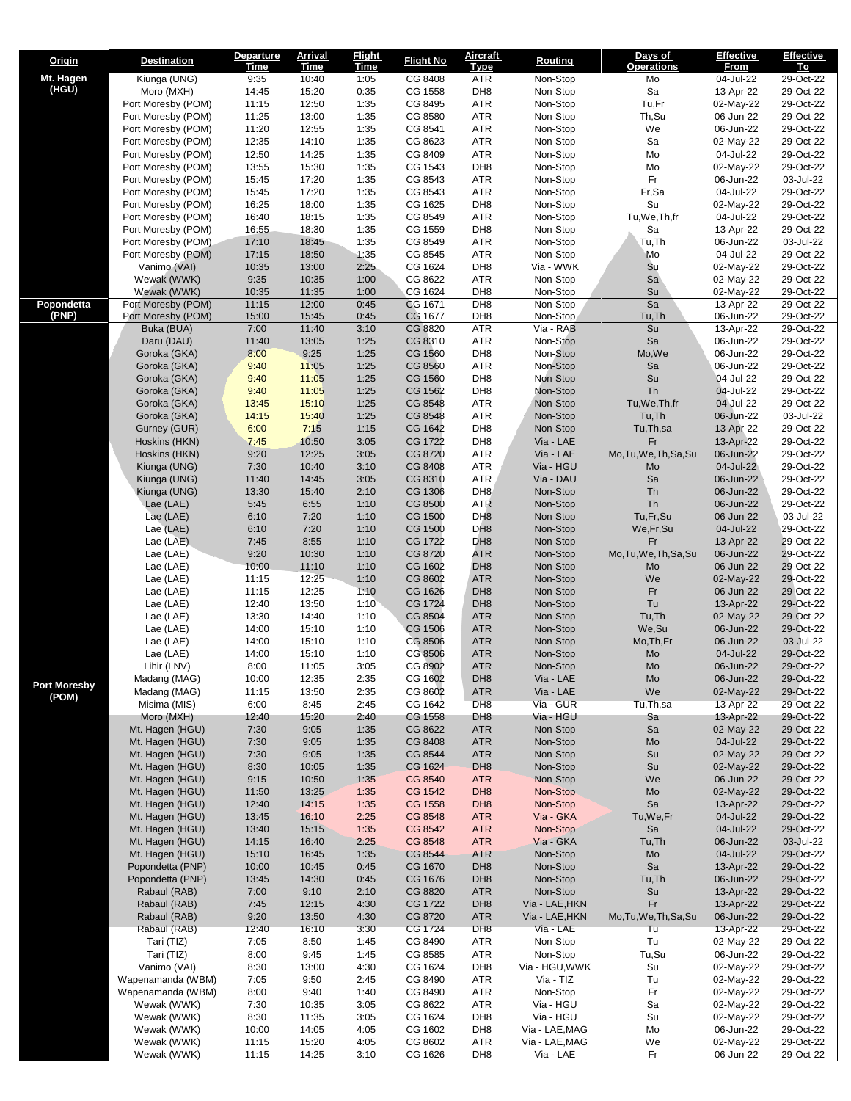| Origin              | <b>Destination</b>                       | <b>Departure</b><br><u>Time</u> | <u>Arrival</u><br><u>Time</u> | <b>Flight</b><br><u>Time</u> | <b>Flight No</b>   | <b>Aircraft</b><br><u>Type</u>     | Routing                | Days of<br><u>Operations</u> | <b>Effective</b><br><u>From</u> | <b>Effective</b><br>Τо |
|---------------------|------------------------------------------|---------------------------------|-------------------------------|------------------------------|--------------------|------------------------------------|------------------------|------------------------------|---------------------------------|------------------------|
| Mt. Hagen           | Kiunga (UNG)                             | 9:35                            | 10:40                         | 1:05                         | CG 8408            | ATR                                | Non-Stop               | Mo                           | 04-Jul-22                       | 29-Oct-22              |
| (HGU)               | Moro (MXH)                               | 14:45                           | 15:20                         | 0:35                         | CG 1558            | DH <sub>8</sub>                    | Non-Stop               | Sa                           | 13-Apr-22                       | 29-Oct-22              |
|                     | Port Moresby (POM)<br>Port Moresby (POM) | 11:15<br>11:25                  | 12:50<br>13:00                | 1:35<br>1:35                 | CG 8495<br>CG 8580 | ATR<br>ATR                         | Non-Stop<br>Non-Stop   | Tu,Fr<br>Th, Su              | 02-May-22<br>06-Jun-22          | 29-Oct-22<br>29-Oct-22 |
|                     | Port Moresby (POM)                       | 11:20                           | 12:55                         | 1:35                         | CG 8541            | ATR                                | Non-Stop               | We                           | 06-Jun-22                       | 29-Oct-22              |
|                     | Port Moresby (POM)                       | 12:35                           | 14:10                         | 1:35                         | CG 8623            | ATR                                | Non-Stop               | Sa                           | 02-May-22                       | 29-Oct-22              |
|                     | Port Moresby (POM)                       | 12:50                           | 14:25                         | 1:35                         | CG 8409            | ATR                                | Non-Stop               | Mo                           | 04-Jul-22                       | 29-Oct-22              |
|                     | Port Moresby (POM)                       | 13:55                           | 15:30                         | 1:35                         | CG 1543            | DH <sub>8</sub>                    | Non-Stop               | Mo                           | 02-May-22                       | 29-Oct-22              |
|                     | Port Moresby (POM)<br>Port Moresby (POM) | 15:45<br>15:45                  | 17:20<br>17:20                | 1:35<br>1:35                 | CG 8543<br>CG 8543 | ATR<br>ATR                         | Non-Stop<br>Non-Stop   | Fr<br>Fr,Sa                  | 06-Jun-22<br>04-Jul-22          | 03-Jul-22<br>29-Oct-22 |
|                     | Port Moresby (POM)                       | 16:25                           | 18:00                         | 1:35                         | CG 1625            | DH <sub>8</sub>                    | Non-Stop               | Su                           | 02-May-22                       | 29-Oct-22              |
|                     | Port Moresby (POM)                       | 16:40                           | 18:15                         | 1:35                         | CG 8549            | <b>ATR</b>                         | Non-Stop               | Tu,We,Th,fr                  | 04-Jul-22                       | 29-Oct-22              |
|                     | Port Moresby (POM)                       | 16:55                           | 18:30                         | 1:35                         | CG 1559            | DH <sub>8</sub>                    | Non-Stop               | Sa                           | 13-Apr-22                       | 29-Oct-22              |
|                     | Port Moresby (POM)<br>Port Moresby (POM) | 17:10<br>17:15                  | 18:45<br>18:50                | 1:35<br>1:35                 | CG 8549<br>CG 8545 | ATR<br>ATR                         | Non-Stop<br>Non-Stop   | Tu,Th<br>Mo                  | 06-Jun-22<br>04-Jul-22          | 03-Jul-22<br>29-Oct-22 |
|                     | Vanimo (VAI)                             | 10:35                           | 13:00                         | 2:25                         | CG 1624            | DH <sub>8</sub>                    | Via - WWK              | Su                           | 02-May-22                       | 29-Oct-22              |
|                     | Wewak (WWK)                              | 9:35                            | 10:35                         | 1:00                         | CG 8622            | ATR                                | Non-Stop               | Sa                           | 02-May-22                       | 29-Oct-22              |
|                     | Wewak (WWK)                              | 10:35                           | 11:35                         | 1:00                         | CG 1624            | DH <sub>8</sub>                    | Non-Stop               | Su                           | 02-May-22                       | 29-Oct-22              |
| Popondetta<br>(PNP) | Port Moresby (POM)<br>Port Moresby (POM) | 11:15<br>15:00                  | 12:00<br>15:45                | 0:45<br>0:45                 | CG 1671<br>CG 1677 | DH <sub>8</sub><br>DH <sub>8</sub> | Non-Stop<br>Non-Stop   | Sa<br>Tu, Th                 | 13-Apr-22<br>06-Jun-22          | 29-Oct-22<br>29-Oct-22 |
|                     | Buka (BUA)                               | 7:00                            | 11:40                         | 3:10                         | CG 8820            | ATR                                | Via - RAB              | Su                           | 13-Apr-22                       | 29-Oct-22              |
|                     | Daru (DAU)                               | 11:40                           | 13:05                         | 1:25                         | CG 8310            | <b>ATR</b>                         | Non-Stop               | Sa                           | 06-Jun-22                       | 29-Oct-22              |
|                     | Goroka (GKA)                             | 8:00                            | 9:25                          | 1:25                         | CG 1560            | DH <sub>8</sub>                    | Non-Stop               | Mo, We                       | 06-Jun-22                       | 29-Oct-22              |
|                     | Goroka (GKA)<br>Goroka (GKA)             | 9:40<br>9:40                    | 11:05<br>11:05                | 1:25<br>1:25                 | CG 8560<br>CG 1560 | <b>ATR</b><br>DH <sub>8</sub>      | Non-Stop<br>Non-Stop   | Sa<br>Su                     | 06-Jun-22<br>04-Jul-22          | 29-Oct-22<br>29-Oct-22 |
|                     | Goroka (GKA)                             | 9:40                            | 11:05                         | 1:25                         | CG 1562            | DH <sub>8</sub>                    | Non-Stop               | Th                           | 04-Jul-22                       | 29-Oct-22              |
|                     | Goroka (GKA)                             | 13:45                           | 15:10                         | 1:25                         | CG 8548            | <b>ATR</b>                         | Non-Stop               | Tu, We, Th, fr               | 04-Jul-22                       | 29-Oct-22              |
|                     | Goroka (GKA)                             | 14:15                           | 15:40                         | 1:25                         | CG 8548            | ATR                                | Non-Stop               | Tu, Th                       | 06-Jun-22                       | 03-Jul-22              |
|                     | Gurney (GUR)<br>Hoskins (HKN)            | 6:00<br>7:45                    | 7:15<br>10:50                 | 1:15<br>3:05                 | CG 1642<br>CG 1722 | DH <sub>8</sub><br>DH <sub>8</sub> | Non-Stop<br>Via - LAE  | Tu, Th, sa<br>Fr             | 13-Apr-22<br>13-Apr-22          | 29-Oct-22<br>29-Oct-22 |
|                     | Hoskins (HKN)                            | 9:20                            | 12:25                         | 3:05                         | CG 8720            | <b>ATR</b>                         | Via - LAE              | Mo, Tu, We, Th, Sa, Su       | 06-Jun-22                       | 29-Oct-22              |
|                     | Kiunga (UNG)                             | 7:30                            | 10:40                         | 3:10                         | CG 8408            | <b>ATR</b>                         | Via - HGU              | Mo                           | 04-Jul-22                       | 29-Oct-22              |
|                     | Kiunga (UNG)                             | 11:40                           | 14:45                         | 3:05                         | CG 8310            | ATR                                | Via - DAU              | Sa                           | 06-Jun-22                       | 29-Oct-22              |
|                     | Kiunga (UNG)                             | 13:30                           | 15:40                         | 2:10                         | CG 1306<br>CG 8500 | DH <sub>8</sub>                    | Non-Stop               | Th<br>Th                     | 06-Jun-22<br>06-Jun-22          | 29-Oct-22<br>29-Oct-22 |
|                     | Lae (LAE)<br>Lae (LAE)                   | 5:45<br>6:10                    | 6:55<br>7:20                  | 1:10<br>1:10                 | CG 1500            | <b>ATR</b><br>DH <sub>8</sub>      | Non-Stop<br>Non-Stop   | Tu,Fr,Su                     | 06-Jun-22                       | 03-Jul-22              |
|                     | Lae (LAE)                                | 6:10                            | 7:20                          | 1:10                         | CG 1500            | DH <sub>8</sub>                    | Non-Stop               | We, Fr, Su                   | 04-Jul-22                       | 29-Oct-22              |
|                     | Lae (LAE)                                | 7:45                            | 8:55                          | 1:10                         | CG 1722            | DH <sub>8</sub>                    | Non-Stop               | Fr                           | 13-Apr-22                       | 29-Oct-22              |
|                     | Lae (LAE)                                | 9:20<br>10:00                   | 10:30                         | 1:10                         | CG 8720<br>CG 1602 | ATR<br>DH <sub>8</sub>             | Non-Stop               | Mo, Tu, We, Th, Sa, Su       | 06-Jun-22                       | 29-Oct-22<br>29-Oct-22 |
|                     | Lae (LAE)<br>Lae (LAE)                   | 11:15                           | 11:10<br>12:25                | 1:10<br>1:10                 | CG 8602            | <b>ATR</b>                         | Non-Stop<br>Non-Stop   | Mo<br>We                     | 06-Jun-22<br>02-May-22          | 29-Oct-22              |
|                     | Lae (LAE)                                | 11:15                           | 12:25                         | 1:10                         | CG 1626            | DH <sub>8</sub>                    | Non-Stop               | Fr                           | 06-Jun-22                       | 29-Oct-22              |
|                     | Lae (LAE)                                | 12:40                           | 13:50                         | 1:10                         | CG 1724            | DH <sub>8</sub>                    | Non-Stop               | Tu                           | 13-Apr-22                       | 29-Oct-22              |
|                     | Lae (LAE)                                | 13:30                           | 14:40                         | 1:10                         | CG 8504            | <b>ATR</b>                         | Non-Stop               | Tu, Th                       | 02-May-22                       | 29-Oct-22              |
|                     | Lae (LAE)<br>Lae (LAE)                   | 14:00<br>14:00                  | 15:10<br>15:10                | 1:10<br>1:10                 | CG 1506<br>CG 8506 | <b>ATR</b><br><b>ATR</b>           | Non-Stop<br>Non-Stop   | We,Su<br>Mo, Th, Fr          | 06-Jun-22<br>06-Jun-22          | 29-Oct-22<br>03-Jul-22 |
|                     | Lae (LAE)                                | 14:00                           | 15:10                         | 1:10                         | CG 8506            | <b>ATR</b>                         | Non-Stop               | Mo                           | 04-Jul-22                       | 29-Oct-22              |
|                     | Lihir (LNV)                              | 8:00                            | 11:05                         | 3:05                         | CG 8902            | <b>ATR</b>                         | Non-Stop               | Mo                           | 06-Jun-22                       | 29-Oct-22              |
| <b>Port Moresby</b> | Madang (MAG)                             | 10:00                           | 12:35                         | 2:35                         | CG 1602            | DH <sub>8</sub>                    | Via - LAE              | Mo                           | 06-Jun-22                       | 29-Oct-22              |
| (POM)               | Madang (MAG)<br>Misima (MIS)             | 11:15<br>6:00                   | 13:50<br>8:45                 | 2:35<br>2:45                 | CG 8602<br>CG 1642 | <b>ATR</b><br>DH <sub>8</sub>      | Via - LAE<br>Via - GUR | We<br>Tu, Th, sa             | 02-May-22<br>13-Apr-22          | 29-Oct-22<br>29-Oct-22 |
|                     | Moro (MXH)                               | 12:40                           | 15:20                         | 2:40                         | CG 1558            | DH <sub>8</sub>                    | Via - HGU              | Sa                           | 13-Apr-22                       | 29-Oct-22              |
|                     | Mt. Hagen (HGU)                          | 7:30                            | 9:05                          | 1:35                         | CG 8622            | <b>ATR</b>                         | Non-Stop               | Sa                           | 02-May-22                       | 29-Oct-22              |
|                     | Mt. Hagen (HGU)                          | 7:30                            | 9:05                          | 1:35                         | CG 8408<br>CG 8544 | <b>ATR</b>                         | Non-Stop               | Mo<br>Su                     | 04-Jul-22                       | 29-Oct-22<br>29-Oct-22 |
|                     | Mt. Hagen (HGU)<br>Mt. Hagen (HGU)       | 7:30<br>8:30                    | 9:05<br>10:05                 | 1:35<br>1:35                 | CG 1624            | <b>ATR</b><br>DH <sub>8</sub>      | Non-Stop<br>Non-Stop   | Su                           | 02-May-22<br>02-May-22          | 29-Oct-22              |
|                     | Mt. Hagen (HGU)                          | 9:15                            | 10:50                         | 1:35                         | CG 8540            | <b>ATR</b>                         | Non-Stop               | We                           | 06-Jun-22                       | 29-Oct-22              |
|                     | Mt. Hagen (HGU)                          | 11:50                           | 13:25                         | 1:35                         | CG 1542            | DH <sub>8</sub>                    | Non-Stop               | Mo                           | 02-May-22                       | 29-Oct-22              |
|                     | Mt. Hagen (HGU)<br>Mt. Hagen (HGU)       | 12:40                           | 14:15                         | 1:35<br>2:25                 | CG 1558<br>CG 8548 | DH <sub>8</sub><br><b>ATR</b>      | Non-Stop               | Sa<br>Tu, We, Fr             | 13-Apr-22<br>04-Jul-22          | 29-Oct-22<br>29-Oct-22 |
|                     | Mt. Hagen (HGU)                          | 13:45<br>13:40                  | 16:10<br>15:15                | 1:35                         | CG 8542            | <b>ATR</b>                         | Via - GKA<br>Non-Stop  | Sa                           | 04-Jul-22                       | 29-Oct-22              |
|                     | Mt. Hagen (HGU)                          | 14:15                           | 16:40                         | 2:25                         | CG 8548            | <b>ATR</b>                         | Via - GKA              | Tu, Th                       | 06-Jun-22                       | 03-Jul-22              |
|                     | Mt. Hagen (HGU)                          | 15:10                           | 16:45                         | 1:35                         | CG 8544            | <b>ATR</b>                         | Non-Stop               | Mo                           | 04-Jul-22                       | 29-Oct-22              |
|                     | Popondetta (PNP)<br>Popondetta (PNP)     | 10:00<br>13:45                  | 10:45<br>14:30                | 0:45<br>0:45                 | CG 1670<br>CG 1676 | DH <sub>8</sub><br>DH <sub>8</sub> | Non-Stop<br>Non-Stop   | Sa<br>Tu, Th                 | 13-Apr-22<br>06-Jun-22          | 29-Oct-22<br>29-Oct-22 |
|                     | Rabaul (RAB)                             | 7:00                            | 9:10                          | 2:10                         | CG 8820            | <b>ATR</b>                         | Non-Stop               | Su                           | 13-Apr-22                       | 29-Oct-22              |
|                     | Rabaul (RAB)                             | 7:45                            | 12:15                         | 4:30                         | CG 1722            | DH <sub>8</sub>                    | Via - LAE, HKN         | Fr                           | 13-Apr-22                       | 29-Oct-22              |
|                     | Rabaul (RAB)                             | 9:20                            | 13:50                         | 4:30                         | CG 8720            | <b>ATR</b>                         | Via - LAE, HKN         | Mo, Tu, We, Th, Sa, Su       | 06-Jun-22                       | 29-Oct-22              |
|                     | Rabaul (RAB)                             | 12:40                           | 16:10                         | 3:30                         | CG 1724            | DH <sub>8</sub>                    | Via - LAE              | Tu<br>Tu                     | 13-Apr-22                       | 29-Oct-22              |
|                     | Tari (TIZ)<br>Tari (TIZ)                 | 7:05<br>8:00                    | 8:50<br>9:45                  | 1:45<br>1:45                 | CG 8490<br>CG 8585 | <b>ATR</b><br>ATR                  | Non-Stop<br>Non-Stop   | Tu,Su                        | 02-May-22<br>06-Jun-22          | 29-Oct-22<br>29-Oct-22 |
|                     | Vanimo (VAI)                             | 8:30                            | 13:00                         | 4:30                         | CG 1624            | DH <sub>8</sub>                    | Via - HGU, WWK         | Su                           | 02-May-22                       | 29-Oct-22              |
|                     | Wapenamanda (WBM)                        | 7:05                            | 9:50                          | 2:45                         | CG 8490            | <b>ATR</b>                         | Via - TIZ              | Tu                           | 02-May-22                       | 29-Oct-22              |
|                     | Wapenamanda (WBM)                        | 8:00                            | 9:40                          | 1:40                         | CG 8490            | <b>ATR</b>                         | Non-Stop               | Fr                           | 02-May-22                       | 29-Oct-22              |
|                     | Wewak (WWK)<br>Wewak (WWK)               | 7:30<br>8:30                    | 10:35<br>11:35                | 3:05<br>3:05                 | CG 8622<br>CG 1624 | ATR<br>DH <sub>8</sub>             | Via - HGU<br>Via - HGU | Sa<br>Su                     | 02-May-22<br>02-May-22          | 29-Oct-22<br>29-Oct-22 |
|                     | Wewak (WWK)                              | 10:00                           | 14:05                         | 4:05                         | CG 1602            | DH <sub>8</sub>                    | Via - LAE, MAG         | Mo                           | 06-Jun-22                       | 29-Oct-22              |
|                     | Wewak (WWK)                              | 11:15                           | 15:20                         | 4:05                         | CG 8602            | <b>ATR</b>                         | Via - LAE, MAG         | We                           | 02-May-22                       | 29-Oct-22              |
|                     | Wewak (WWK)                              | 11:15                           | 14:25                         | 3:10                         | CG 1626            | DH8                                | Via - LAE              | Fr                           | 06-Jun-22                       | 29-Oct-22              |